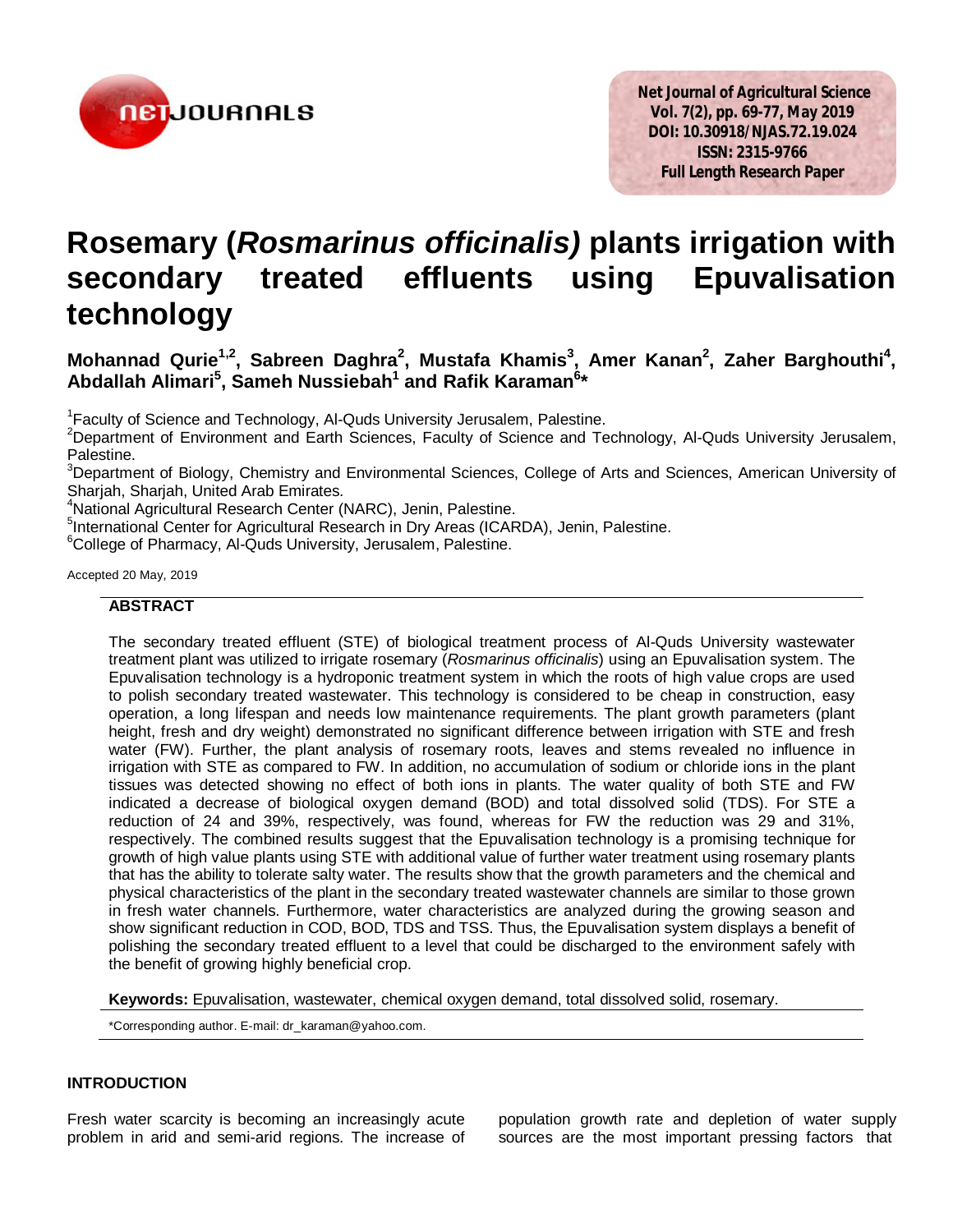

# **Rosemary (***Rosmarinus officinalis)* **plants irrigation with secondary treated effluents using Epuvalisation technology**

## **Mohannad Qurie<sup>1,2</sup>, Sabreen Daghra<sup>2</sup>, Mustafa Khamis<sup>3</sup>, Amer Kanan<sup>2</sup>, Zaher Barghouthi<sup>4</sup>, Abdallah Alimari<sup>5</sup> , Sameh Nussiebah<sup>1</sup> and Rafik Karaman<sup>6</sup> \***

<sup>1</sup> Faculty of Science and Technology, Al-Quds University Jerusalem, Palestine.

<sup>2</sup>Department of Environment and Earth Sciences, Faculty of Science and Technology, Al-Quds University Jerusalem, Palestine.

<sup>3</sup>Department of Biology, Chemistry and Environmental Sciences, College of Arts and Sciences, American University of Sharjah, Sharjah, United Arab Emirates.

<sup>4</sup>National Agricultural Research Center (NARC), Jenin, Palestine.

<sup>5</sup>International Center for Agricultural Research in Dry Areas (ICARDA), Jenin, Palestine.

<sup>6</sup>College of Pharmacy, Al-Quds University, Jerusalem, Palestine.

## Accepted 20 May, 2019

## **ABSTRACT**

The secondary treated effluent (STE) of biological treatment process of Al-Quds University wastewater treatment plant was utilized to irrigate rosemary (*Rosmarinus officinalis*) using an Epuvalisation system. The Epuvalisation technology is a hydroponic treatment system in which the roots of high value crops are used to polish secondary treated wastewater. This technology is considered to be cheap in construction, easy operation, a long lifespan and needs low maintenance requirements. The plant growth parameters (plant height, fresh and dry weight) demonstrated no significant difference between irrigation with STE and fresh water (FW). Further, the plant analysis of rosemary roots, leaves and stems revealed no influence in irrigation with STE as compared to FW. In addition, no accumulation of sodium or chloride ions in the plant tissues was detected showing no effect of both ions in plants. The water quality of both STE and FW indicated a decrease of biological oxygen demand (BOD) and total dissolved solid (TDS). For STE a reduction of 24 and 39%, respectively, was found, whereas for FW the reduction was 29 and 31%, respectively. The combined results suggest that the Epuvalisation technology is a promising technique for growth of high value plants using STE with additional value of further water treatment using rosemary plants that has the ability to tolerate salty water. The results show that the growth parameters and the chemical and physical characteristics of the plant in the secondary treated wastewater channels are similar to those grown in fresh water channels. Furthermore, water characteristics are analyzed during the growing season and show significant reduction in COD, BOD, TDS and TSS. Thus, the Epuvalisation system displays a benefit of polishing the secondary treated effluent to a level that could be discharged to the environment safely with the benefit of growing highly beneficial crop.

**Keywords:** Epuvalisation, wastewater, chemical oxygen demand, total dissolved solid, rosemary.

\*Corresponding author. E-mail: dr\_karaman@yahoo.com.

## **INTRODUCTION**

Fresh water scarcity is becoming an increasingly acute problem in arid and semi-arid regions. The increase of population growth rate and depletion of water supply sources are the most important pressing factors that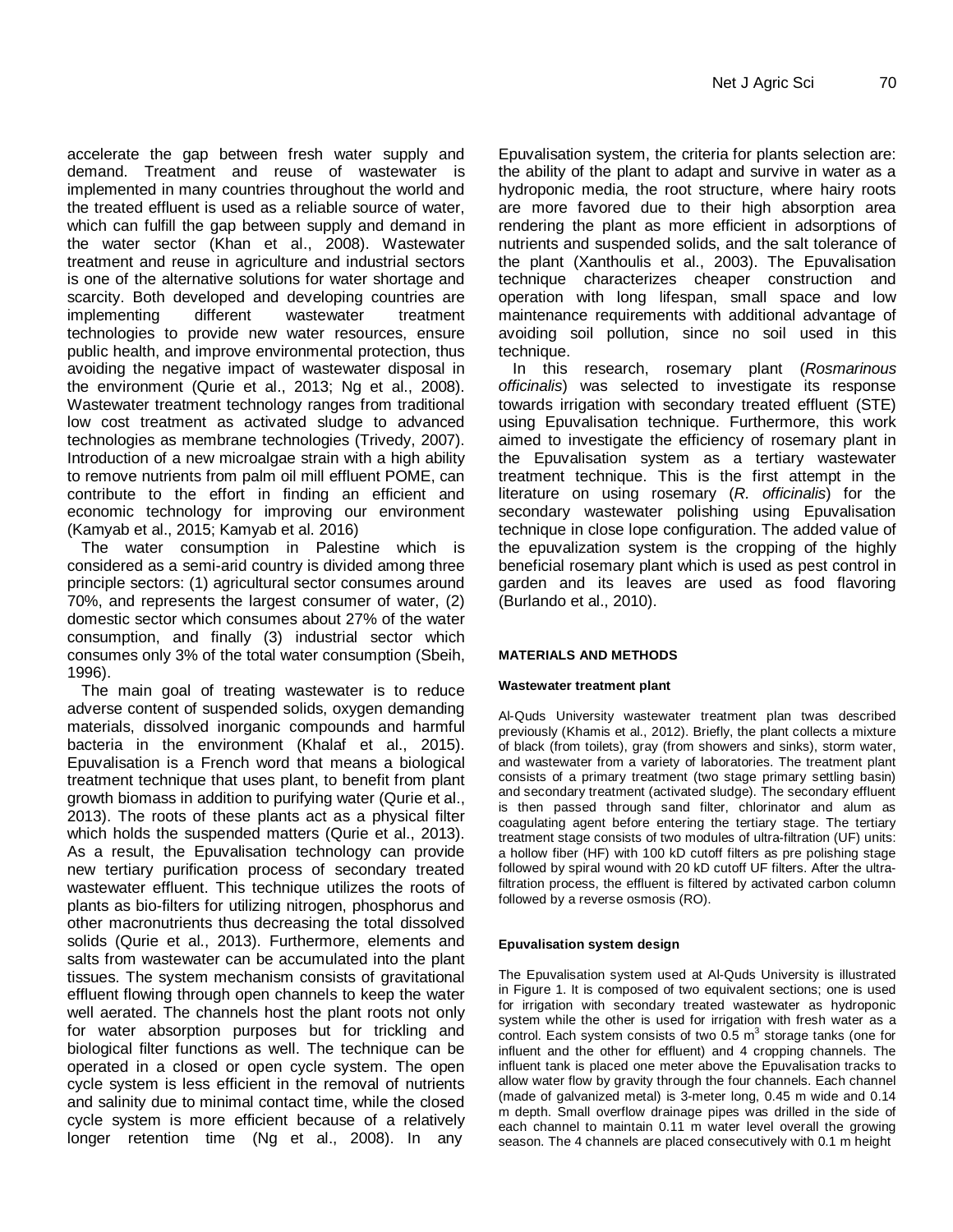accelerate the gap between fresh water supply and demand. Treatment and reuse of wastewater is implemented in many countries throughout the world and the treated effluent is used as a reliable source of water, which can fulfill the gap between supply and demand in the water sector (Khan et al., 2008). Wastewater treatment and reuse in agriculture and industrial sectors is one of the alternative solutions for water shortage and scarcity. Both developed and developing countries are implementing different wastewater treatment technologies to provide new water resources, ensure public health, and improve environmental protection, thus avoiding the negative impact of wastewater disposal in the environment (Qurie et al., 2013; Ng et al., 2008). Wastewater treatment technology ranges from traditional low cost treatment as activated sludge to advanced technologies as membrane technologies (Trivedy, 2007). Introduction of a new microalgae strain with a high ability to remove nutrients from palm oil mill effluent POME, can contribute to the effort in finding an efficient and economic technology for improving our environment (Kamyab et al., 2015; Kamyab et al. 2016)

The water consumption in Palestine which is considered as a semi-arid country is divided among three principle sectors: (1) agricultural sector consumes around 70%, and represents the largest consumer of water, (2) domestic sector which consumes about 27% of the water consumption, and finally (3) industrial sector which consumes only 3% of the total water consumption (Sbeih, 1996).

The main goal of treating wastewater is to reduce adverse content of suspended solids, oxygen demanding materials, dissolved inorganic compounds and harmful bacteria in the environment (Khalaf et al., 2015). Epuvalisation is a French word that means a biological treatment technique that uses plant, to benefit from plant growth biomass in addition to purifying water (Qurie et al., 2013). The roots of these plants act as a physical filter which holds the suspended matters (Qurie et al., 2013). As a result, the Epuvalisation technology can provide new tertiary purification process of secondary treated wastewater effluent. This technique utilizes the roots of plants as bio-filters for utilizing nitrogen, phosphorus and other macronutrients thus decreasing the total dissolved solids (Qurie et al., 2013). Furthermore, elements and salts from wastewater can be accumulated into the plant tissues. The system mechanism consists of gravitational effluent flowing through open channels to keep the water well aerated. The channels host the plant roots not only for water absorption purposes but for trickling and biological filter functions as well. The technique can be operated in a closed or open cycle system. The open cycle system is less efficient in the removal of nutrients and salinity due to minimal contact time, while the closed cycle system is more efficient because of a relatively longer retention time (Ng et al., 2008). In any

Epuvalisation system, the criteria for plants selection are: the ability of the plant to adapt and survive in water as a hydroponic media, the root structure, where hairy roots are more favored due to their high absorption area rendering the plant as more efficient in adsorptions of nutrients and suspended solids, and the salt tolerance of the plant (Xanthoulis et al., 2003). The Epuvalisation technique characterizes cheaper construction and operation with long lifespan, small space and low maintenance requirements with additional advantage of avoiding soil pollution, since no soil used in this technique.

In this research, rosemary plant (*Rosmarinous officinalis*) was selected to investigate its response towards irrigation with secondary treated effluent (STE) using Epuvalisation technique. Furthermore, this work aimed to investigate the efficiency of rosemary plant in the Epuvalisation system as a tertiary wastewater treatment technique. This is the first attempt in the literature on using rosemary (*R. officinalis*) for the secondary wastewater polishing using Epuvalisation technique in close lope configuration. The added value of the epuvalization system is the cropping of the highly beneficial rosemary plant which is used as pest control in garden and its leaves are used as food flavoring (Burlando et al., 2010).

## **MATERIALS AND METHODS**

#### **Wastewater treatment plant**

Al-Quds University wastewater treatment plan twas described previously (Khamis et al., 2012). Briefly, the plant collects a mixture of black (from toilets), gray (from showers and sinks), storm water, and wastewater from a variety of laboratories. The treatment plant consists of a primary treatment (two stage primary settling basin) and secondary treatment (activated sludge). The secondary effluent is then passed through sand filter, chlorinator and alum as coagulating agent before entering the tertiary stage. The tertiary treatment stage consists of two modules of ultra-filtration (UF) units: a hollow fiber (HF) with 100 kD cutoff filters as pre polishing stage followed by spiral wound with 20 kD cutoff UF filters. After the ultrafiltration process, the effluent is filtered by activated carbon column followed by a reverse osmosis (RO).

#### **Epuvalisation system design**

The Epuvalisation system used at Al-Quds University is illustrated in Figure 1. It is composed of two equivalent sections; one is used for irrigation with secondary treated wastewater as hydroponic system while the other is used for irrigation with fresh water as a control. Each system consists of two  $0.5 \text{ m}^3$  storage tanks (one for influent and the other for effluent) and 4 cropping channels. The influent tank is placed one meter above the Epuvalisation tracks to allow water flow by gravity through the four channels. Each channel (made of galvanized metal) is 3-meter long, 0.45 m wide and 0.14 m depth. Small overflow drainage pipes was drilled in the side of each channel to maintain 0.11 m water level overall the growing season. The 4 channels are placed consecutively with 0.1 m height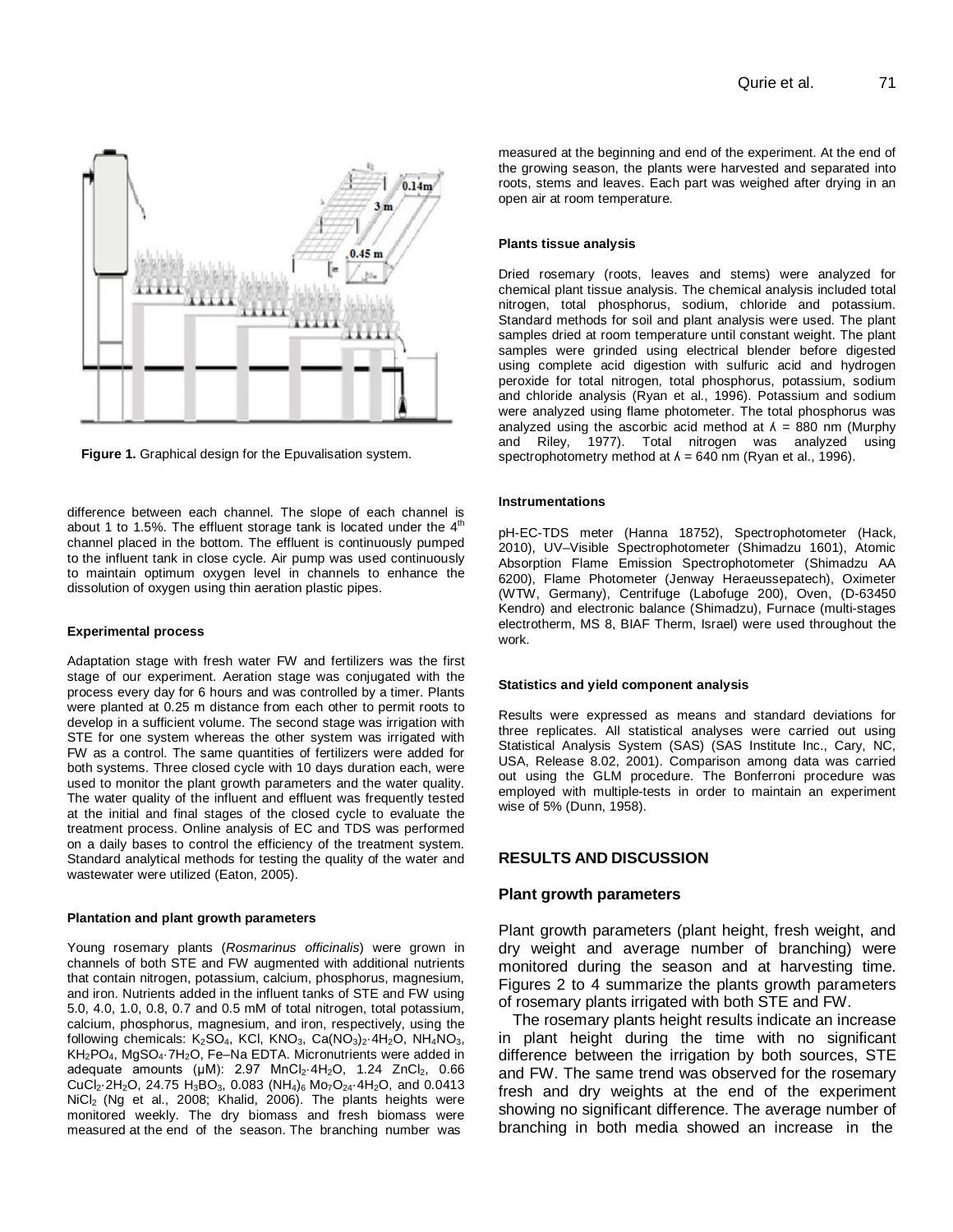

**Figure 1.** Graphical design for the Epuvalisation system.

difference between each channel. The slope of each channel is about 1 to 1.5%. The effluent storage tank is located under the  $4<sup>th</sup>$ channel placed in the bottom. The effluent is continuously pumped to the influent tank in close cycle. Air pump was used continuously to maintain optimum oxygen level in channels to enhance the dissolution of oxygen using thin aeration plastic pipes.

#### **Experimental process**

Adaptation stage with fresh water FW and fertilizers was the first stage of our experiment. Aeration stage was conjugated with the process every day for 6 hours and was controlled by a timer. Plants were planted at 0.25 m distance from each other to permit roots to develop in a sufficient volume. The second stage was irrigation with STE for one system whereas the other system was irrigated with FW as a control. The same quantities of fertilizers were added for both systems. Three closed cycle with 10 days duration each, were used to monitor the plant growth parameters and the water quality. The water quality of the influent and effluent was frequently tested at the initial and final stages of the closed cycle to evaluate the treatment process. Online analysis of EC and TDS was performed on a daily bases to control the efficiency of the treatment system. Standard analytical methods for testing the quality of the water and wastewater were utilized (Eaton, 2005).

#### **Plantation and plant growth parameters**

Young rosemary plants (*Rosmarinus officinalis*) were grown in channels of both STE and FW augmented with additional nutrients that contain nitrogen, potassium, calcium, phosphorus, magnesium, and iron. Nutrients added in the influent tanks of STE and FW using 5.0, 4.0, 1.0, 0.8, 0.7 and 0.5 mM of total nitrogen, total potassium, calcium, phosphorus, magnesium, and iron, respectively, using the following chemicals: K<sub>2</sub>SO<sub>4</sub>, KCl, KNO<sub>3</sub>, Ca(NO<sub>3</sub>)<sub>2</sub>·4H<sub>2</sub>O, NH<sub>4</sub>NO<sub>3</sub>, KH<sub>2</sub>PO<sub>4</sub>, MgSO<sub>4</sub>·7H<sub>2</sub>O, Fe–Na EDTA. Micronutrients were added in adequate amounts ( $\mu$ M): 2.97 MnCl<sub>2</sub>·4H<sub>2</sub>O, 1.24 ZnCl<sub>2</sub>, 0.66 CuCl<sub>2</sub>·2H<sub>2</sub>O, 24.75 H<sub>3</sub>BO<sub>3</sub>, 0.083 (NH<sub>4</sub>)<sub>6</sub> Mo<sub>7</sub>O<sub>24</sub>·4H<sub>2</sub>O, and 0.0413 NiCl<sub>2</sub> (Ng et al., 2008; Khalid, 2006). The plants heights were monitored weekly. The dry biomass and fresh biomass were measured at the end of the season. The branching number was

measured at the beginning and end of the experiment. At the end of the growing season, the plants were harvested and separated into roots, stems and leaves. Each part was weighed after drying in an open air at room temperature.

#### **Plants tissue analysis**

Dried rosemary (roots, leaves and stems) were analyzed for chemical plant tissue analysis. The chemical analysis included total nitrogen, total phosphorus, sodium, chloride and potassium. Standard methods for soil and plant analysis were used. The plant samples dried at room temperature until constant weight. The plant samples were grinded using electrical blender before digested using complete acid digestion with sulfuric acid and hydrogen peroxide for total nitrogen, total phosphorus, potassium, sodium and chloride analysis (Ryan et al., 1996). Potassium and sodium were analyzed using flame photometer. The total phosphorus was analyzed using the ascorbic acid method at  $\lambda = 880$  nm (Murphy and Riley, 1977). Total nitrogen was analyzed using spectrophotometry method at  $\lambda = 640$  nm (Ryan et al., 1996).

#### **Instrumentations**

pH-EC-TDS meter (Hanna 18752), Spectrophotometer (Hack, 2010), UV–Visible Spectrophotometer (Shimadzu 1601), Atomic Absorption Flame Emission Spectrophotometer (Shimadzu AA 6200), Flame Photometer (Jenway Heraeussepatech), Oximeter (WTW, Germany), Centrifuge (Labofuge 200), Oven, (D-63450 Kendro) and electronic balance (Shimadzu), Furnace (multi-stages electrotherm, MS 8, BIAF Therm, Israel) were used throughout the work.

#### **Statistics and yield component analysis**

Results were expressed as means and standard deviations for three replicates. All statistical analyses were carried out using Statistical Analysis System (SAS) (SAS Institute Inc., Cary, NC, USA, Release 8.02, 2001). Comparison among data was carried out using the GLM procedure. The Bonferroni procedure was employed with multiple-tests in order to maintain an experiment wise of 5% (Dunn, 1958).

#### **RESULTS AND DISCUSSION**

#### **Plant growth parameters**

Plant growth parameters (plant height, fresh weight, and dry weight and average number of branching) were monitored during the season and at harvesting time. Figures 2 to 4 summarize the plants growth parameters of rosemary plants irrigated with both STE and FW.

The rosemary plants height results indicate an increase in plant height during the time with no significant difference between the irrigation by both sources, STE and FW. The same trend was observed for the rosemary fresh and dry weights at the end of the experiment showing no significant difference. The average number of branching in both media showed an increase in the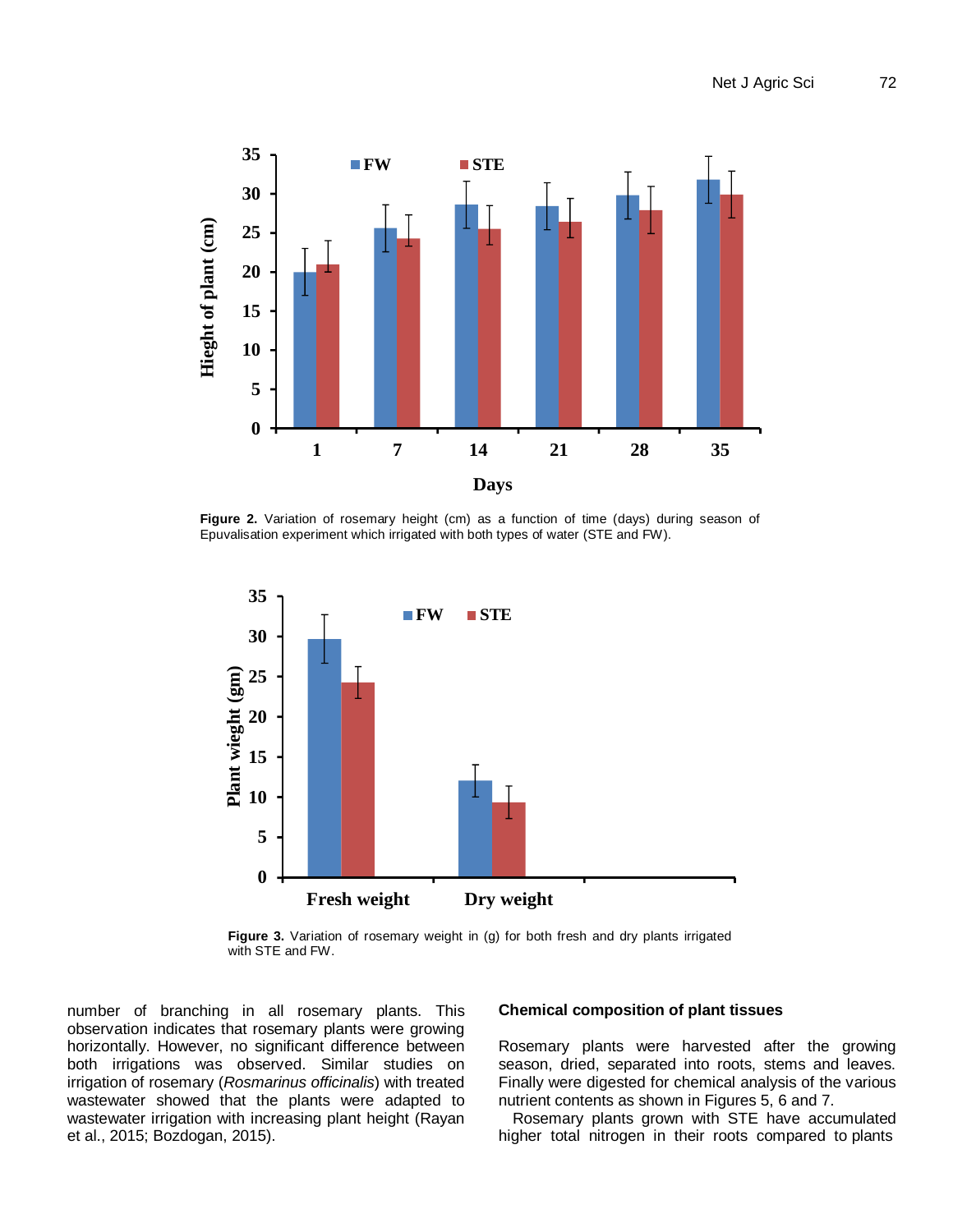

**Figure 2.** Variation of rosemary height (cm) as a function of time (days) during season of Epuvalisation experiment which irrigated with both types of water (STE and FW).



**Figure 3.** Variation of rosemary weight in (g) for both fresh and dry plants irrigated with STE and FW.

number of branching in all rosemary plants. This observation indicates that rosemary plants were growing horizontally. However, no significant difference between both irrigations was observed. Similar studies on irrigation of rosemary (*Rosmarinus officinalis*) with treated wastewater showed that the plants were adapted to wastewater irrigation with increasing plant height (Rayan et al., 2015; Bozdogan, 2015).

## **Chemical composition of plant tissues**

Rosemary plants were harvested after the growing season, dried, separated into roots, stems and leaves. Finally were digested for chemical analysis of the various nutrient contents as shown in Figures 5, 6 and 7.

Rosemary plants grown with STE have accumulated higher total nitrogen in their roots compared to plants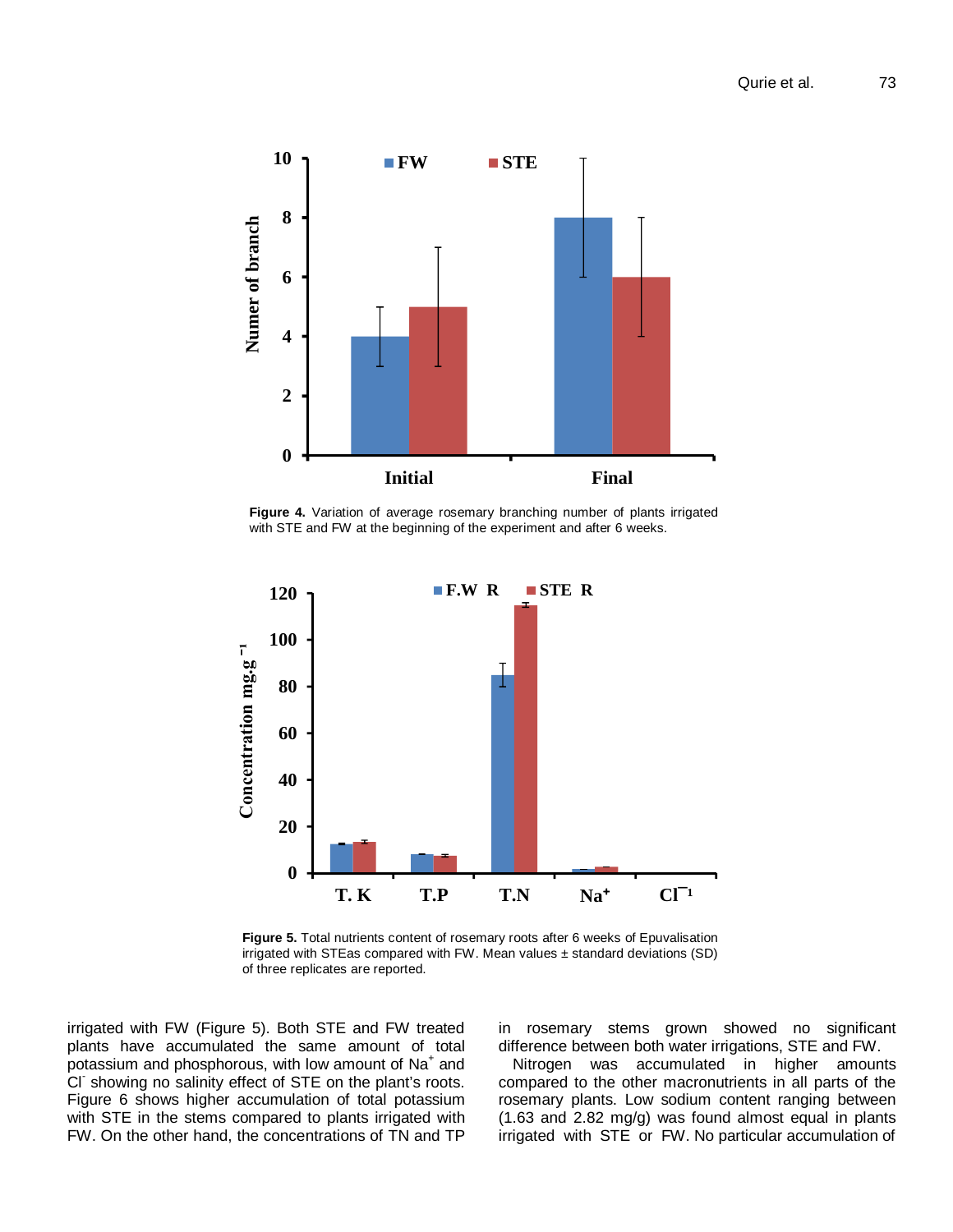

**Figure 4.** Variation of average rosemary branching number of plants irrigated with STE and FW at the beginning of the experiment and after 6 weeks.



**Figure 5.** Total nutrients content of rosemary roots after 6 weeks of Epuvalisation irrigated with STEas compared with FW. Mean values ± standard deviations (SD) of three replicates are reported.

irrigated with FW (Figure 5). Both STE and FW treated plants have accumulated the same amount of total .<br>potassium and phosphorous, with low amount of Na<sup>+</sup> and Cl-showing no salinity effect of STE on the plant's roots. Figure 6 shows higher accumulation of total potassium with STE in the stems compared to plants irrigated with FW. On the other hand, the concentrations of TN and TP

in rosemary stems grown showed no significant difference between both water irrigations, STE and FW.

Nitrogen was accumulated in higher amounts compared to the other macronutrients in all parts of the rosemary plants. Low sodium content ranging between (1.63 and 2.82 mg/g) was found almost equal in plants irrigated with STE or FW. No particular accumulation of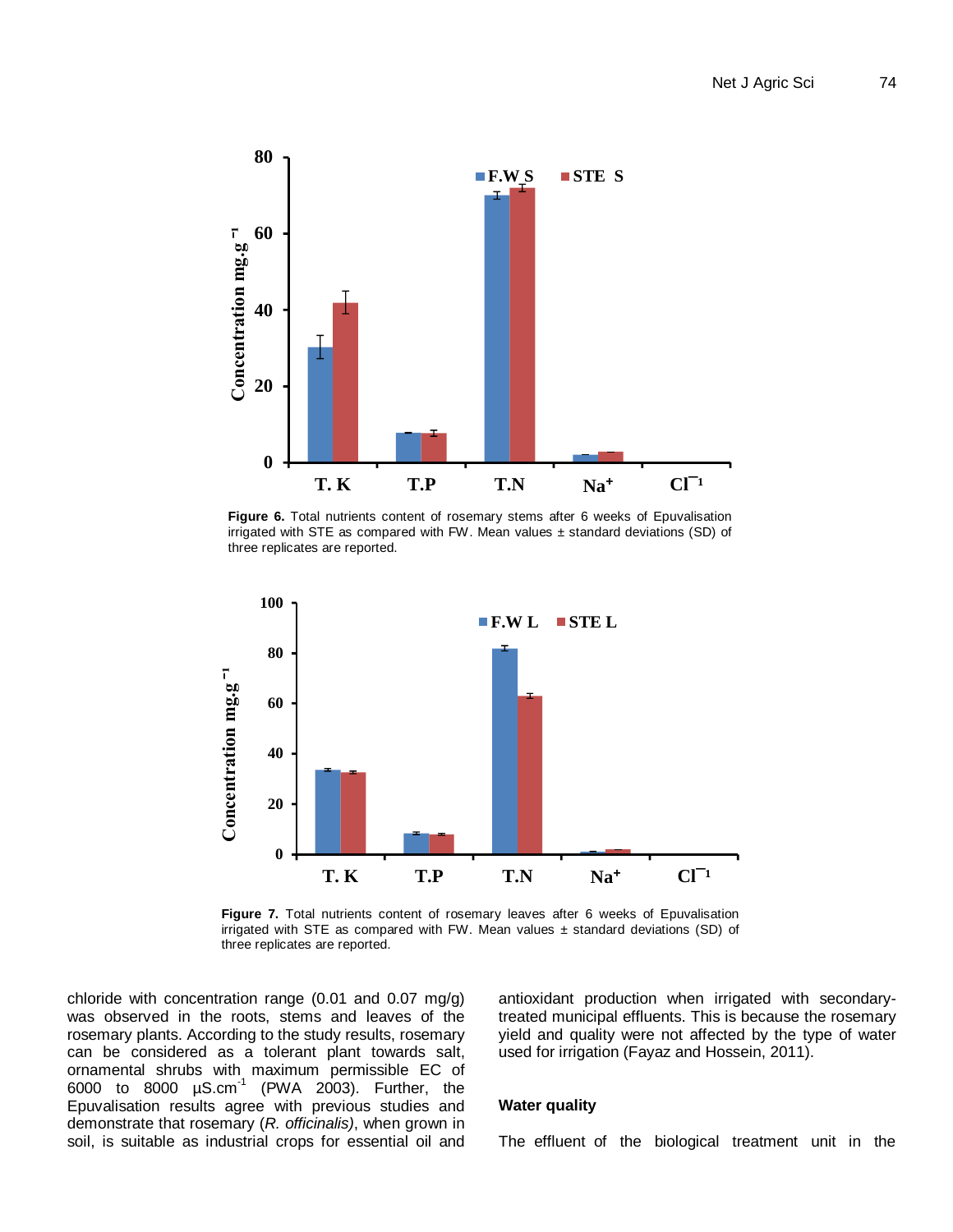

**Figure 6.** Total nutrients content of rosemary stems after 6 weeks of Epuvalisation irrigated with STE as compared with FW. Mean values  $\pm$  standard deviations (SD) of three replicates are reported.



**Figure 7.** Total nutrients content of rosemary leaves after 6 weeks of Epuvalisation irrigated with STE as compared with FW. Mean values  $\pm$  standard deviations (SD) of three replicates are reported.

chloride with concentration range (0.01 and 0.07 mg/g) was observed in the roots, stems and leaves of the rosemary plants. According to the study results, rosemary can be considered as a tolerant plant towards salt, ornamental shrubs with maximum permissible EC of 6000 to 8000  $\mu$ S.cm $^{-1}$  (PWA 2003). Further, the Epuvalisation results agree with previous studies and demonstrate that rosemary (*R. officinalis)*, when grown in soil, is suitable as industrial crops for essential oil and

antioxidant production when irrigated with secondarytreated municipal effluents. This is because the rosemary yield and quality were not affected by the type of water used for irrigation (Fayaz and Hossein, 2011).

## **Water quality**

The effluent of the biological treatment unit in the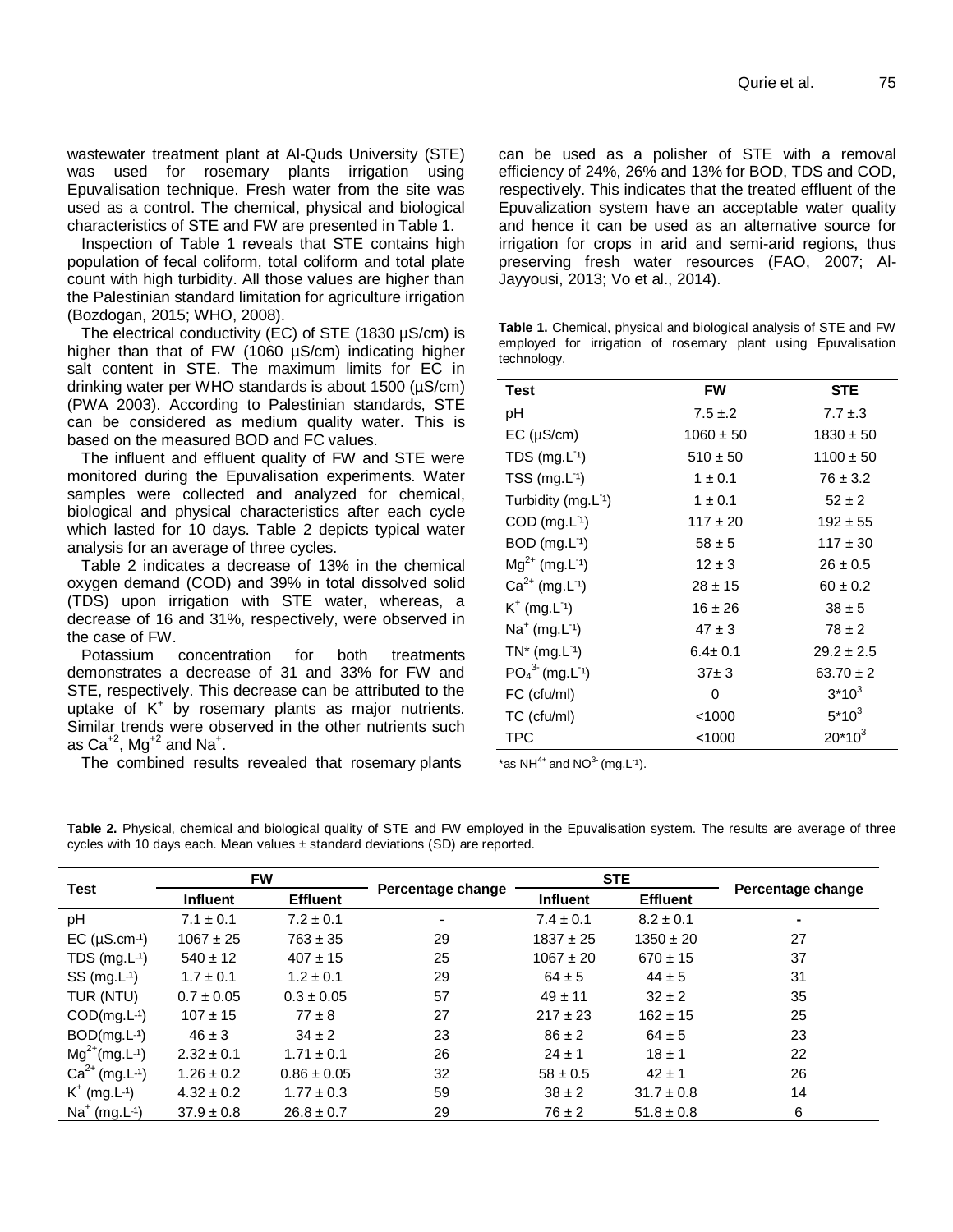wastewater treatment plant at Al-Quds University (STE) was used for rosemary plants irrigation using Epuvalisation technique. Fresh water from the site was used as a control. The chemical, physical and biological characteristics of STE and FW are presented in Table 1.

Inspection of Table 1 reveals that STE contains high population of fecal coliform, total coliform and total plate count with high turbidity. All those values are higher than the Palestinian standard limitation for agriculture irrigation (Bozdogan, 2015; WHO, 2008).

The electrical conductivity (EC) of STE (1830 µS/cm) is higher than that of FW (1060 µS/cm) indicating higher salt content in STE. The maximum limits for EC in drinking water per WHO standards is about 1500 (µS/cm) (PWA 2003). According to Palestinian standards, STE can be considered as medium quality water. This is based on the measured BOD and FC values.

The influent and effluent quality of FW and STE were monitored during the Epuvalisation experiments. Water samples were collected and analyzed for chemical, biological and physical characteristics after each cycle which lasted for 10 days. Table 2 depicts typical water analysis for an average of three cycles.

Table 2 indicates a decrease of 13% in the chemical oxygen demand (COD) and 39% in total dissolved solid (TDS) upon irrigation with STE water, whereas, a decrease of 16 and 31%, respectively, were observed in the case of FW.

Potassium concentration for both treatments demonstrates a decrease of 31 and 33% for FW and STE, respectively. This decrease can be attributed to the uptake of K<sup>+</sup> by rosemary plants as major nutrients. Similar trends were observed in the other nutrients such as Ca $^{*2}$ , Mg $^{*2}$  and Na $^*$ .

The combined results revealed that rosemary plants

can be used as a polisher of STE with a removal efficiency of 24%, 26% and 13% for BOD, TDS and COD, respectively. This indicates that the treated effluent of the Epuvalization system have an acceptable water quality and hence it can be used as an alternative source for irrigation for crops in arid and semi-arid regions, thus preserving fresh water resources (FAO, 2007; Al-Jayyousi, 2013; Vo et al., 2014).

**Table 1.** Chemical, physical and biological analysis of STE and FW employed for irrigation of rosemary plant using Epuvalisation technology.

| <b>Test</b>                      | <b>FW</b>     | <b>STE</b>     |  |
|----------------------------------|---------------|----------------|--|
| рH                               | $7.5 \pm 2$   | $7.7 \pm .3$   |  |
| EC (µS/cm)                       | $1060 \pm 50$ | $1830 \pm 50$  |  |
| TDS $(mg.L-1)$                   | $510 \pm 50$  | $1100 \pm 50$  |  |
| $TSS$ (mg. $L^{-1}$ )            | $1 \pm 0.1$   | $76 \pm 3.2$   |  |
| Turbidity $(mg.L1)$              | $1 \pm 0.1$   | $52 \pm 2$     |  |
| $COD$ (mg. $L^{\eta}$ )          | $117 \pm 20$  | $192 \pm 55$   |  |
| $BOD$ (mg.L <sup>-1</sup> )      | $58 \pm 5$    | $117 \pm 30$   |  |
| $Mg^{2+}$ (mg. L <sup>-1</sup> ) | $12 \pm 3$    | $26 \pm 0.5$   |  |
| $Ca^{2+}$ (mg. L <sup>-1</sup> ) | $28 \pm 15$   | $60 \pm 0.2$   |  |
| $K^+$ (mg. $L^{-1}$ )            | $16 \pm 26$   | $38 \pm 5$     |  |
| $Na^+(mg.L^1)$                   | $47 \pm 3$    | $78 \pm 2$     |  |
| $TN^*$ (mg. $L^{-1}$ )           | $6.4 \pm 0.1$ | $29.2 \pm 2.5$ |  |
| $PO43 (mg.L-1)$                  | $37 + 3$      | $63.70 \pm 2$  |  |
| FC (cfu/ml)                      | 0             | $3*10^3$       |  |
| TC (cfu/ml)                      | < 1000        | $5*10^3$       |  |
| TPC                              | <1000         | $20*10^3$      |  |

\*as NH<sup>4+</sup> and NO $^3$  (mg.L<sup>-1</sup>).

**Table 2.** Physical, chemical and biological quality of STE and FW employed in the Epuvalisation system. The results are average of three cycles with 10 days each. Mean values ± standard deviations (SD) are reported.

| <b>Test</b>                      | <b>FW</b>       |                 | Percentage change        | <b>STE</b>      |                 | Percentage change |
|----------------------------------|-----------------|-----------------|--------------------------|-----------------|-----------------|-------------------|
|                                  | <b>Influent</b> | <b>Effluent</b> |                          | <b>Influent</b> | <b>Effluent</b> |                   |
| pH                               | $7.1 \pm 0.1$   | $7.2 \pm 0.1$   | $\overline{\phantom{a}}$ | $7.4 \pm 0.1$   | $8.2 \pm 0.1$   | ۰                 |
| $EC$ ( $\mu$ S.cm-1)             | $1067 \pm 25$   | $763 \pm 35$    | 29                       | $1837 \pm 25$   | $1350 \pm 20$   | 27                |
| TDS $(mg.L^{-1})$                | $540 \pm 12$    | $407 \pm 15$    | 25                       | $1067 \pm 20$   | $670 \pm 15$    | 37                |
| $SS$ (mg. $L^{-1}$ )             | $1.7 \pm 0.1$   | $1.2 \pm 0.1$   | 29                       | $64 \pm 5$      | $44 \pm 5$      | 31                |
| TUR (NTU)                        | $0.7 \pm 0.05$  | $0.3 \pm 0.05$  | 57                       | $49 \pm 11$     | $32 \pm 2$      | 35                |
| $COD(mg.L^{-1})$                 | $107 \pm 15$    | $77 \pm 8$      | 27                       | $217 \pm 23$    | $162 \pm 15$    | 25                |
| $BOD(mg.L^{-1})$                 | $46 \pm 3$      | $34 \pm 2$      | 23                       | $86 \pm 2$      | $64 \pm 5$      | 23                |
| $Mg^{2+}(mg.L^{-1})$             | $2.32 \pm 0.1$  | $1.71 \pm 0.1$  | 26                       | $24 \pm 1$      | $18 \pm 1$      | 22                |
| $Ca^{2+}$ (mg. L <sup>-1</sup> ) | $1.26 \pm 0.2$  | $0.86 \pm 0.05$ | 32                       | $58 \pm 0.5$    | $42 \pm 1$      | 26                |
| $K^+$ (mg. L <sup>-1</sup> )     | $4.32 \pm 0.2$  | $1.77 \pm 0.3$  | 59                       | $38 \pm 2$      | $31.7 \pm 0.8$  | 14                |
| $Na^{+}$ (mg. L-1)               | $37.9 \pm 0.8$  | $26.8 \pm 0.7$  | 29                       | $76 \pm 2$      | $51.8 \pm 0.8$  | 6                 |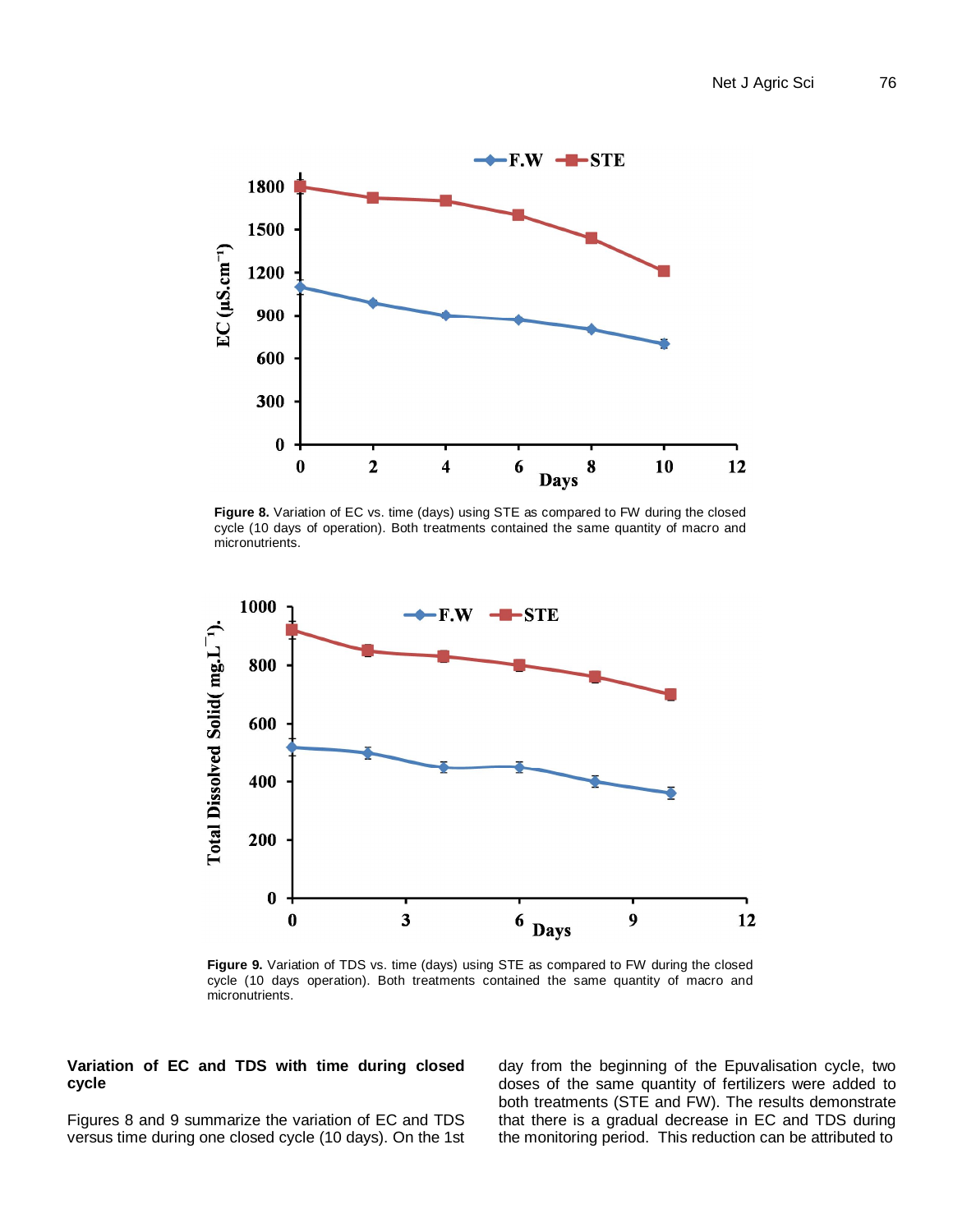

**Figure 8.** Variation of EC vs. time (days) using STE as compared to FW during the closed cycle (10 days of operation). Both treatments contained the same quantity of macro and micronutrients.



**Figure 9.** Variation of TDS vs. time (days) using STE as compared to FW during the closed cycle (10 days operation). Both treatments contained the same quantity of macro and micronutrients.

## **Variation of EC and TDS with time during closed cycle**

Figures 8 and 9 summarize the variation of EC and TDS versus time during one closed cycle (10 days). On the 1st day from the beginning of the Epuvalisation cycle, two doses of the same quantity of fertilizers were added to both treatments (STE and FW). The results demonstrate that there is a gradual decrease in EC and TDS during the monitoring period. This reduction can be attributed to